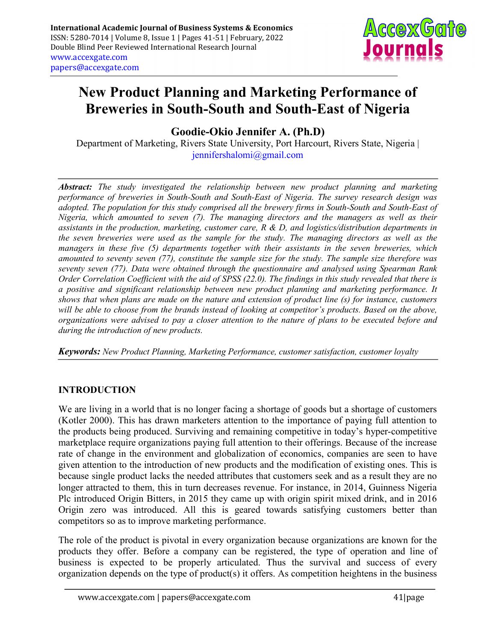

# New Product Planning and Marketing Performance of Breweries in South-South and South-East of Nigeria

Goodie-Okio Jennifer A. (Ph.D)

Department of Marketing, Rivers State University, Port Harcourt, Rivers State, Nigeria | jennifershalomi@gmail.com

Abstract: The study investigated the relationship between new product planning and marketing performance of breweries in South-South and South-East of Nigeria. The survey research design was adopted. The population for this study comprised all the brewery firms in South-South and South-East of Nigeria, which amounted to seven (7). The managing directors and the managers as well as their assistants in the production, marketing, customer care, R & D, and logistics/distribution departments in the seven breweries were used as the sample for the study. The managing directors as well as the managers in these five (5) departments together with their assistants in the seven breweries, which amounted to seventy seven (77), constitute the sample size for the study. The sample size therefore was seventy seven (77). Data were obtained through the questionnaire and analysed using Spearman Rank Order Correlation Coefficient with the aid of SPSS (22.0). The findings in this study revealed that there is a positive and significant relationship between new product planning and marketing performance. It shows that when plans are made on the nature and extension of product line (s) for instance, customers will be able to choose from the brands instead of looking at competitor's products. Based on the above, organizations were advised to pay a closer attention to the nature of plans to be executed before and during the introduction of new products.

Keywords: New Product Planning, Marketing Performance, customer satisfaction, customer loyalty

## INTRODUCTION

We are living in a world that is no longer facing a shortage of goods but a shortage of customers (Kotler 2000). This has drawn marketers attention to the importance of paying full attention to the products being produced. Surviving and remaining competitive in today's hyper-competitive marketplace require organizations paying full attention to their offerings. Because of the increase rate of change in the environment and globalization of economics, companies are seen to have given attention to the introduction of new products and the modification of existing ones. This is because single product lacks the needed attributes that customers seek and as a result they are no longer attracted to them, this in turn decreases revenue. For instance, in 2014, Guinness Nigeria Plc introduced Origin Bitters, in 2015 they came up with origin spirit mixed drink, and in 2016 Origin zero was introduced. All this is geared towards satisfying customers better than competitors so as to improve marketing performance.

The role of the product is pivotal in every organization because organizations are known for the products they offer. Before a company can be registered, the type of operation and line of business is expected to be properly articulated. Thus the survival and success of every organization depends on the type of product(s) it offers. As competition heightens in the business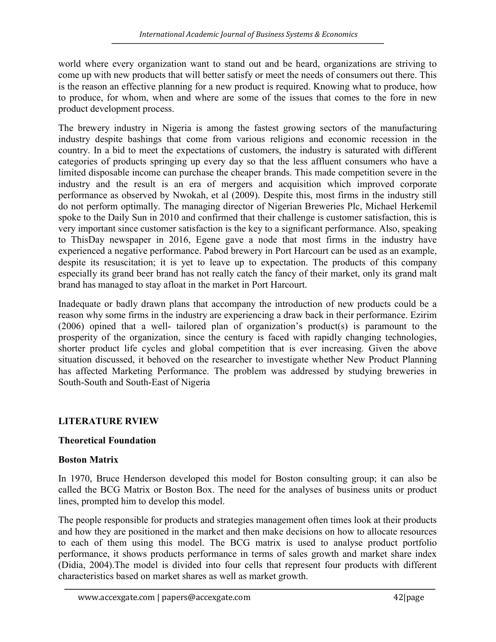world where every organization want to stand out and be heard, organizations are striving to come up with new products that will better satisfy or meet the needs of consumers out there. This is the reason an effective planning for a new product is required. Knowing what to produce, how to produce, for whom, when and where are some of the issues that comes to the fore in new product development process.

The brewery industry in Nigeria is among the fastest growing sectors of the manufacturing industry despite bashings that come from various religions and economic recession in the country. In a bid to meet the expectations of customers, the industry is saturated with different categories of products springing up every day so that the less affluent consumers who have a limited disposable income can purchase the cheaper brands. This made competition severe in the industry and the result is an era of mergers and acquisition which improved corporate performance as observed by Nwokah, et al (2009). Despite this, most firms in the industry still do not perform optimally. The managing director of Nigerian Breweries Plc, Michael Herkemil spoke to the Daily Sun in 2010 and confirmed that their challenge is customer satisfaction, this is very important since customer satisfaction is the key to a significant performance. Also, speaking to ThisDay newspaper in 2016, Egene gave a node that most firms in the industry have experienced a negative performance. Pabod brewery in Port Harcourt can be used as an example, despite its resuscitation; it is yet to leave up to expectation. The products of this company especially its grand beer brand has not really catch the fancy of their market, only its grand malt brand has managed to stay afloat in the market in Port Harcourt.

Inadequate or badly drawn plans that accompany the introduction of new products could be a reason why some firms in the industry are experiencing a draw back in their performance. Ezirim (2006) opined that a well- tailored plan of organization's product(s) is paramount to the prosperity of the organization, since the century is faced with rapidly changing technologies, shorter product life cycles and global competition that is ever increasing. Given the above situation discussed, it behoved on the researcher to investigate whether New Product Planning has affected Marketing Performance. The problem was addressed by studying breweries in South-South and South-East of Nigeria

## LITERATURE RVIEW

## Theoretical Foundation

#### Boston Matrix

In 1970, Bruce Henderson developed this model for Boston consulting group; it can also be called the BCG Matrix or Boston Box. The need for the analyses of business units or product lines, prompted him to develop this model.

The people responsible for products and strategies management often times look at their products and how they are positioned in the market and then make decisions on how to allocate resources to each of them using this model. The BCG matrix is used to analyse product portfolio performance, it shows products performance in terms of sales growth and market share index (Didia, 2004).The model is divided into four cells that represent four products with different characteristics based on market shares as well as market growth.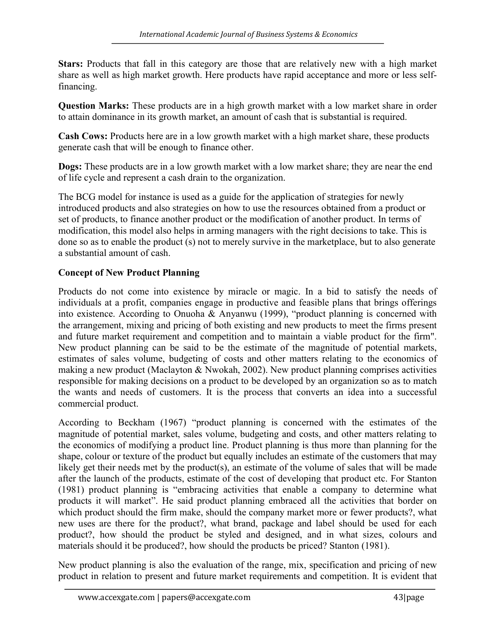Stars: Products that fall in this category are those that are relatively new with a high market share as well as high market growth. Here products have rapid acceptance and more or less selffinancing.

Question Marks: These products are in a high growth market with a low market share in order to attain dominance in its growth market, an amount of cash that is substantial is required.

Cash Cows: Products here are in a low growth market with a high market share, these products generate cash that will be enough to finance other.

Dogs: These products are in a low growth market with a low market share; they are near the end of life cycle and represent a cash drain to the organization.

The BCG model for instance is used as a guide for the application of strategies for newly introduced products and also strategies on how to use the resources obtained from a product or set of products, to finance another product or the modification of another product. In terms of modification, this model also helps in arming managers with the right decisions to take. This is done so as to enable the product (s) not to merely survive in the marketplace, but to also generate a substantial amount of cash.

## Concept of New Product Planning

Products do not come into existence by miracle or magic. In a bid to satisfy the needs of individuals at a profit, companies engage in productive and feasible plans that brings offerings into existence. According to Onuoha & Anyanwu (1999), "product planning is concerned with the arrangement, mixing and pricing of both existing and new products to meet the firms present and future market requirement and competition and to maintain a viable product for the firm". New product planning can be said to be the estimate of the magnitude of potential markets, estimates of sales volume, budgeting of costs and other matters relating to the economics of making a new product (Maclayton & Nwokah, 2002). New product planning comprises activities responsible for making decisions on a product to be developed by an organization so as to match the wants and needs of customers. It is the process that converts an idea into a successful commercial product.

According to Beckham (1967) "product planning is concerned with the estimates of the magnitude of potential market, sales volume, budgeting and costs, and other matters relating to the economics of modifying a product line. Product planning is thus more than planning for the shape, colour or texture of the product but equally includes an estimate of the customers that may likely get their needs met by the product(s), an estimate of the volume of sales that will be made after the launch of the products, estimate of the cost of developing that product etc. For Stanton (1981) product planning is "embracing activities that enable a company to determine what products it will market". He said product planning embraced all the activities that border on which product should the firm make, should the company market more or fewer products?, what new uses are there for the product?, what brand, package and label should be used for each product?, how should the product be styled and designed, and in what sizes, colours and materials should it be produced?, how should the products be priced? Stanton (1981).

New product planning is also the evaluation of the range, mix, specification and pricing of new product in relation to present and future market requirements and competition. It is evident that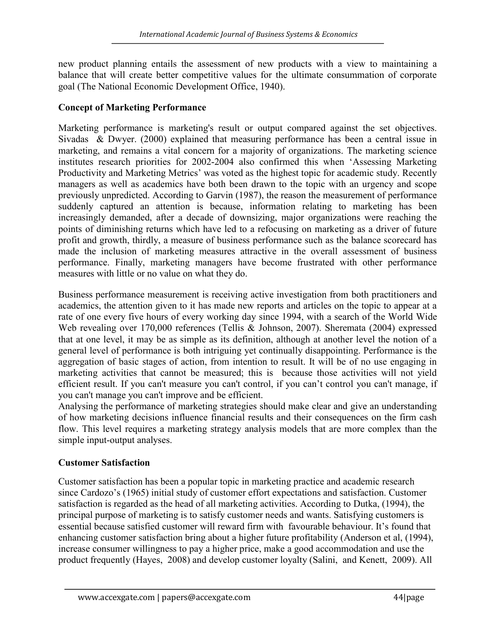new product planning entails the assessment of new products with a view to maintaining a balance that will create better competitive values for the ultimate consummation of corporate goal (The National Economic Development Office, 1940).

#### Concept of Marketing Performance

Marketing performance is marketing's result or output compared against the set objectives. Sivadas & Dwyer. (2000) explained that measuring performance has been a central issue in marketing, and remains a vital concern for a majority of organizations. The marketing science institutes research priorities for 2002-2004 also confirmed this when 'Assessing Marketing Productivity and Marketing Metrics' was voted as the highest topic for academic study. Recently managers as well as academics have both been drawn to the topic with an urgency and scope previously unpredicted. According to Garvin (1987), the reason the measurement of performance suddenly captured an attention is because, information relating to marketing has been increasingly demanded, after a decade of downsizing, major organizations were reaching the points of diminishing returns which have led to a refocusing on marketing as a driver of future profit and growth, thirdly, a measure of business performance such as the balance scorecard has made the inclusion of marketing measures attractive in the overall assessment of business performance. Finally, marketing managers have become frustrated with other performance measures with little or no value on what they do.

Business performance measurement is receiving active investigation from both practitioners and academics, the attention given to it has made new reports and articles on the topic to appear at a rate of one every five hours of every working day since 1994, with a search of the World Wide Web revealing over 170,000 references (Tellis & Johnson, 2007). Sheremata (2004) expressed that at one level, it may be as simple as its definition, although at another level the notion of a general level of performance is both intriguing yet continually disappointing. Performance is the aggregation of basic stages of action, from intention to result. It will be of no use engaging in marketing activities that cannot be measured; this is because those activities will not yield efficient result. If you can't measure you can't control, if you can't control you can't manage, if you can't manage you can't improve and be efficient.

Analysing the performance of marketing strategies should make clear and give an understanding of how marketing decisions influence financial results and their consequences on the firm cash flow. This level requires a marketing strategy analysis models that are more complex than the simple input-output analyses.

#### Customer Satisfaction

Customer satisfaction has been a popular topic in marketing practice and academic research since Cardozo's (1965) initial study of customer effort expectations and satisfaction. Customer satisfaction is regarded as the head of all marketing activities. According to Dutka, (1994), the principal purpose of marketing is to satisfy customer needs and wants. Satisfying customers is essential because satisfied customer will reward firm with favourable behaviour. It's found that enhancing customer satisfaction bring about a higher future profitability (Anderson et al, (1994), increase consumer willingness to pay a higher price, make a good accommodation and use the product frequently (Hayes, 2008) and develop customer loyalty (Salini, and Kenett, 2009). All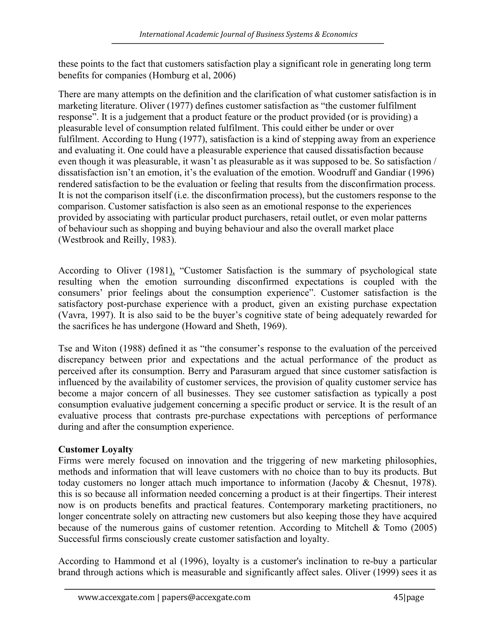these points to the fact that customers satisfaction play a significant role in generating long term benefits for companies (Homburg et al, 2006)

There are many attempts on the definition and the clarification of what customer satisfaction is in marketing literature. Oliver (1977) defines customer satisfaction as "the customer fulfilment response". It is a judgement that a product feature or the product provided (or is providing) a pleasurable level of consumption related fulfilment. This could either be under or over fulfilment. According to Hung (1977), satisfaction is a kind of stepping away from an experience and evaluating it. One could have a pleasurable experience that caused dissatisfaction because even though it was pleasurable, it wasn't as pleasurable as it was supposed to be. So satisfaction / dissatisfaction isn't an emotion, it's the evaluation of the emotion. Woodruff and Gandiar (1996) rendered satisfaction to be the evaluation or feeling that results from the disconfirmation process. It is not the comparison itself (i.e. the disconfirmation process), but the customers response to the comparison. Customer satisfaction is also seen as an emotional response to the experiences provided by associating with particular product purchasers, retail outlet, or even molar patterns of behaviour such as shopping and buying behaviour and also the overall market place (Westbrook and Reilly, 1983).

According to Oliver (1981), "Customer Satisfaction is the summary of psychological state resulting when the emotion surrounding disconfirmed expectations is coupled with the consumers' prior feelings about the consumption experience". Customer satisfaction is the satisfactory post-purchase experience with a product, given an existing purchase expectation (Vavra, 1997). It is also said to be the buyer's cognitive state of being adequately rewarded for the sacrifices he has undergone (Howard and Sheth, 1969).

Tse and Witon (1988) defined it as "the consumer's response to the evaluation of the perceived discrepancy between prior and expectations and the actual performance of the product as perceived after its consumption. Berry and Parasuram argued that since customer satisfaction is influenced by the availability of customer services, the provision of quality customer service has become a major concern of all businesses. They see customer satisfaction as typically a post consumption evaluative judgement concerning a specific product or service. It is the result of an evaluative process that contrasts pre-purchase expectations with perceptions of performance during and after the consumption experience.

## Customer Loyalty

Firms were merely focused on innovation and the triggering of new marketing philosophies, methods and information that will leave customers with no choice than to buy its products. But today customers no longer attach much importance to information (Jacoby & Chesnut, 1978). this is so because all information needed concerning a product is at their fingertips. Their interest now is on products benefits and practical features. Contemporary marketing practitioners, no longer concentrate solely on attracting new customers but also keeping those they have acquired because of the numerous gains of customer retention. According to Mitchell & Tomo (2005) Successful firms consciously create customer satisfaction and loyalty.

According to Hammond et al (1996), loyalty is a customer's inclination to re-buy a particular brand through actions which is measurable and significantly affect sales. Oliver (1999) sees it as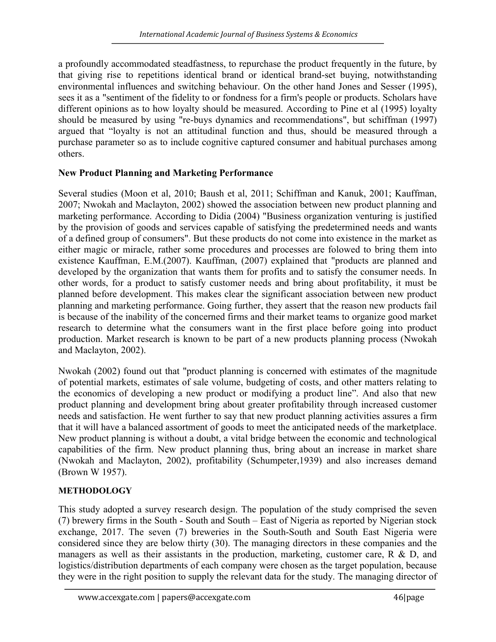a profoundly accommodated steadfastness, to repurchase the product frequently in the future, by that giving rise to repetitions identical brand or identical brand-set buying, notwithstanding environmental influences and switching behaviour. On the other hand Jones and Sesser (1995), sees it as a "sentiment of the fidelity to or fondness for a firm's people or products. Scholars have different opinions as to how loyalty should be measured. According to Pine et al (1995) loyalty should be measured by using "re-buys dynamics and recommendations", but schiffman (1997) argued that "loyalty is not an attitudinal function and thus, should be measured through a purchase parameter so as to include cognitive captured consumer and habitual purchases among others.

#### New Product Planning and Marketing Performance

Several studies (Moon et al, 2010; Baush et al, 2011; Schiffman and Kanuk, 2001; Kauffman, 2007; Nwokah and Maclayton, 2002) showed the association between new product planning and marketing performance. According to Didia (2004) "Business organization venturing is justified by the provision of goods and services capable of satisfying the predetermined needs and wants of a defined group of consumers". But these products do not come into existence in the market as either magic or miracle, rather some procedures and processes are folowed to bring them into existence Kauffman, E.M.(2007). Kauffman, (2007) explained that "products are planned and developed by the organization that wants them for profits and to satisfy the consumer needs. In other words, for a product to satisfy customer needs and bring about profitability, it must be planned before development. This makes clear the significant association between new product planning and marketing performance. Going further, they assert that the reason new products fail is because of the inability of the concerned firms and their market teams to organize good market research to determine what the consumers want in the first place before going into product production. Market research is known to be part of a new products planning process (Nwokah and Maclayton, 2002).

Nwokah (2002) found out that "product planning is concerned with estimates of the magnitude of potential markets, estimates of sale volume, budgeting of costs, and other matters relating to the economics of developing a new product or modifying a product line". And also that new product planning and development bring about greater profitability through increased customer needs and satisfaction. He went further to say that new product planning activities assures a firm that it will have a balanced assortment of goods to meet the anticipated needs of the marketplace. New product planning is without a doubt, a vital bridge between the economic and technological capabilities of the firm. New product planning thus, bring about an increase in market share (Nwokah and Maclayton, 2002), profitability (Schumpeter,1939) and also increases demand (Brown W 1957).

#### METHODOLOGY

This study adopted a survey research design. The population of the study comprised the seven (7) brewery firms in the South - South and South – East of Nigeria as reported by Nigerian stock exchange, 2017. The seven (7) breweries in the South-South and South East Nigeria were considered since they are below thirty (30). The managing directors in these companies and the managers as well as their assistants in the production, marketing, customer care, R & D, and logistics/distribution departments of each company were chosen as the target population, because they were in the right position to supply the relevant data for the study. The managing director of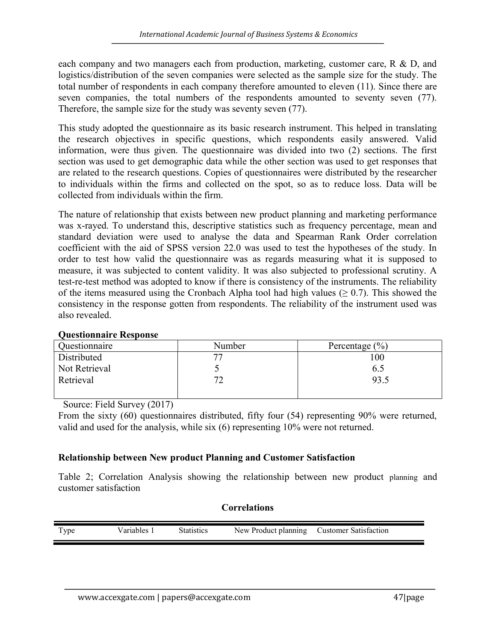each company and two managers each from production, marketing, customer care, R & D, and logistics/distribution of the seven companies were selected as the sample size for the study. The total number of respondents in each company therefore amounted to eleven (11). Since there are seven companies, the total numbers of the respondents amounted to seventy seven (77). Therefore, the sample size for the study was seventy seven (77).

This study adopted the questionnaire as its basic research instrument. This helped in translating the research objectives in specific questions, which respondents easily answered. Valid information, were thus given. The questionnaire was divided into two (2) sections. The first section was used to get demographic data while the other section was used to get responses that are related to the research questions. Copies of questionnaires were distributed by the researcher to individuals within the firms and collected on the spot, so as to reduce loss. Data will be collected from individuals within the firm.

The nature of relationship that exists between new product planning and marketing performance was x-rayed. To understand this, descriptive statistics such as frequency percentage, mean and standard deviation were used to analyse the data and Spearman Rank Order correlation coefficient with the aid of SPSS version 22.0 was used to test the hypotheses of the study. In order to test how valid the questionnaire was as regards measuring what it is supposed to measure, it was subjected to content validity. It was also subjected to professional scrutiny. A test-re-test method was adopted to know if there is consistency of the instruments. The reliability of the items measured using the Cronbach Alpha tool had high values ( $\geq 0.7$ ). This showed the consistency in the response gotten from respondents. The reliability of the instrument used was also revealed.

| Questionnaire | Number | Percentage $(\% )$ |
|---------------|--------|--------------------|
| Distributed   |        | 100                |
| Not Retrieval |        | 6.5                |
| Retrieval     | ∽      | 93.5               |
|               |        |                    |

#### Questionnaire Response

Source: Field Survey (2017)

From the sixty (60) questionnaires distributed, fifty four (54) representing 90% were returned, valid and used for the analysis, while six (6) representing 10% were not returned.

#### Relationship between New product Planning and Customer Satisfaction

Table 2; Correlation Analysis showing the relationship between new product planning and customer satisfaction

#### **Correlations**

| l ype | ariah<br>$1 \alpha c$ | statistics. | New.<br>Product<br>planning | aistomer.<br>Satisfaction |
|-------|-----------------------|-------------|-----------------------------|---------------------------|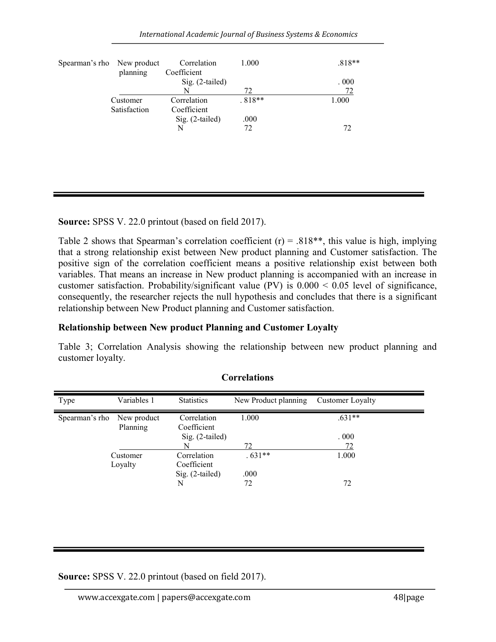International Academic Journal of Business Systems & Economics

| Spearman's rho New product | planning     | Correlation<br>Coefficient | 1.000    | $.818**$ |
|----------------------------|--------------|----------------------------|----------|----------|
|                            |              | Sig. (2-tailed)            |          | .000     |
|                            |              | N                          | 72       | 72       |
|                            | Customer     | Correlation                | $.818**$ | 1.000    |
|                            | Satisfaction | Coefficient                |          |          |
|                            |              | Sig. (2-tailed)            | .000     |          |
|                            |              | N                          | 72       | 72       |
|                            |              |                            |          |          |
|                            |              |                            |          |          |
|                            |              |                            |          |          |
|                            |              |                            |          |          |

Source: SPSS V. 22.0 printout (based on field 2017).

Table 2 shows that Spearman's correlation coefficient  $(r) = .818**$ , this value is high, implying that a strong relationship exist between New product planning and Customer satisfaction. The positive sign of the correlation coefficient means a positive relationship exist between both variables. That means an increase in New product planning is accompanied with an increase in customer satisfaction. Probability/significant value (PV) is 0.000 < 0.05 level of significance, consequently, the researcher rejects the null hypothesis and concludes that there is a significant relationship between New Product planning and Customer satisfaction.

## Relationship between New product Planning and Customer Loyalty

Table 3; Correlation Analysis showing the relationship between new product planning and customer loyalty.

| Type           | Variables 1             | <b>Statistics</b>                             | New Product planning | <b>Customer Loyalty</b> |
|----------------|-------------------------|-----------------------------------------------|----------------------|-------------------------|
| Spearman's rho | New product<br>Planning | Correlation<br>Coefficient<br>Sig. (2-tailed) | 1.000                | $.631**$<br>.000.       |
|                |                         | N                                             | 72                   | 72                      |
|                | Customer<br>Loyalty     | Correlation<br>Coefficient                    | $.631**$             | 1.000                   |
|                |                         | Sig. (2-tailed)<br>N                          | .000<br>72           | 72                      |

**Correlations** 

Source: SPSS V. 22.0 printout (based on field 2017).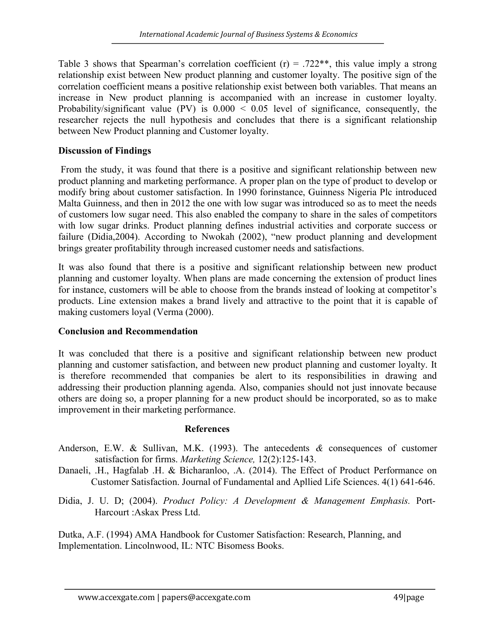Table 3 shows that Spearman's correlation coefficient  $(r) = .722$ <sup>\*\*</sup>, this value imply a strong relationship exist between New product planning and customer loyalty. The positive sign of the correlation coefficient means a positive relationship exist between both variables. That means an increase in New product planning is accompanied with an increase in customer loyalty. Probability/significant value (PV) is  $0.000 < 0.05$  level of significance, consequently, the researcher rejects the null hypothesis and concludes that there is a significant relationship between New Product planning and Customer loyalty.

#### Discussion of Findings

 From the study, it was found that there is a positive and significant relationship between new product planning and marketing performance. A proper plan on the type of product to develop or modify bring about customer satisfaction. In 1990 forinstance, Guinness Nigeria Plc introduced Malta Guinness, and then in 2012 the one with low sugar was introduced so as to meet the needs of customers low sugar need. This also enabled the company to share in the sales of competitors with low sugar drinks. Product planning defines industrial activities and corporate success or failure (Didia,2004). According to Nwokah (2002), "new product planning and development brings greater profitability through increased customer needs and satisfactions.

It was also found that there is a positive and significant relationship between new product planning and customer loyalty. When plans are made concerning the extension of product lines for instance, customers will be able to choose from the brands instead of looking at competitor's products. Line extension makes a brand lively and attractive to the point that it is capable of making customers loyal (Verma (2000).

#### Conclusion and Recommendation

It was concluded that there is a positive and significant relationship between new product planning and customer satisfaction, and between new product planning and customer loyalty. It is therefore recommended that companies be alert to its responsibilities in drawing and addressing their production planning agenda. Also, companies should not just innovate because others are doing so, a proper planning for a new product should be incorporated, so as to make improvement in their marketing performance.

#### References

- Anderson, E.W. & Sullivan, M.K. (1993). The antecedents  $\&$  consequences of customer satisfaction for firms. Marketing Science, 12(2):125-143.
- Danaeli, .H., Hagfalab .H. & Bicharanloo, .A. (2014). The Effect of Product Performance on Customer Satisfaction. Journal of Fundamental and Apllied Life Sciences. 4(1) 641-646.

Didia, J. U. D; (2004). Product Policy: A Development & Management Emphasis. Port-Harcourt :Askax Press Ltd.

Dutka, A.F. (1994) AMA Handbook for Customer Satisfaction: Research, Planning, and Implementation. Lincolnwood, IL: NTC Bisomess Books.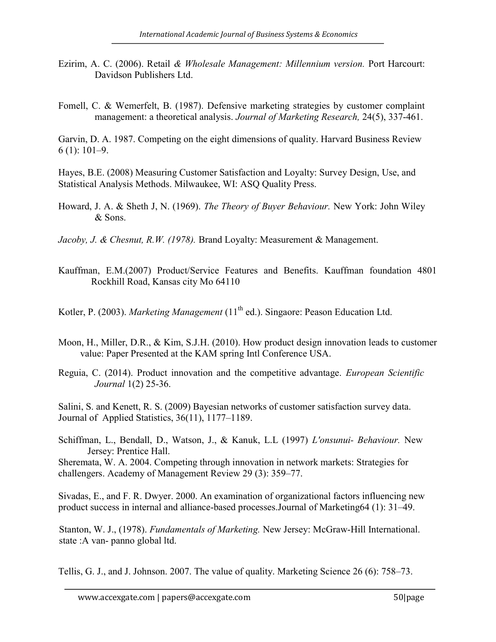- Ezirim, A. C. (2006). Retail & Wholesale Management: Millennium version. Port Harcourt: Davidson Publishers Ltd.
- Fomell, C. & Wemerfelt, B. (1987). Defensive marketing strategies by customer complaint management: a theoretical analysis. Journal of Marketing Research, 24(5), 337-461.

Garvin, D. A. 1987. Competing on the eight dimensions of quality. Harvard Business Review 6 (1): 101–9.

Hayes, B.E. (2008) Measuring Customer Satisfaction and Loyalty: Survey Design, Use, and Statistical Analysis Methods. Milwaukee, WI: ASQ Quality Press.

Howard, J. A. & Sheth J, N. (1969). The Theory of Buyer Behaviour. New York: John Wiley & Sons.

Jacoby, J. & Chesnut, R.W. (1978). Brand Loyalty: Measurement & Management.

Kauffman, E.M.(2007) Product/Service Features and Benefits. Kauffman foundation 4801 Rockhill Road, Kansas city Mo 64110

Kotler, P. (2003). Marketing Management (11<sup>th</sup> ed.). Singaore: Peason Education Ltd.

- Moon, H., Miller, D.R., & Kim, S.J.H. (2010). How product design innovation leads to customer value: Paper Presented at the KAM spring Intl Conference USA.
- Reguia, C. (2014). Product innovation and the competitive advantage. European Scientific Journal 1(2) 25-36.

Salini, S. and Kenett, R. S. (2009) Bayesian networks of customer satisfaction survey data. Journal of Applied Statistics, 36(11), 1177–1189.

Schiffman, L., Bendall, D., Watson, J., & Kanuk, L.L (1997) L'onsunui- Behaviour. New Jersey: Prentice Hall.

Sheremata, W. A. 2004. Competing through innovation in network markets: Strategies for challengers. Academy of Management Review 29 (3): 359–77.

Sivadas, E., and F. R. Dwyer. 2000. An examination of organizational factors influencing new product success in internal and alliance-based processes.Journal of Marketing64 (1): 31–49.

Stanton, W. J., (1978). Fundamentals of Marketing. New Jersey: McGraw-Hill International. state :A van- panno global ltd.

Tellis, G. J., and J. Johnson. 2007. The value of quality. Marketing Science 26 (6): 758–73.